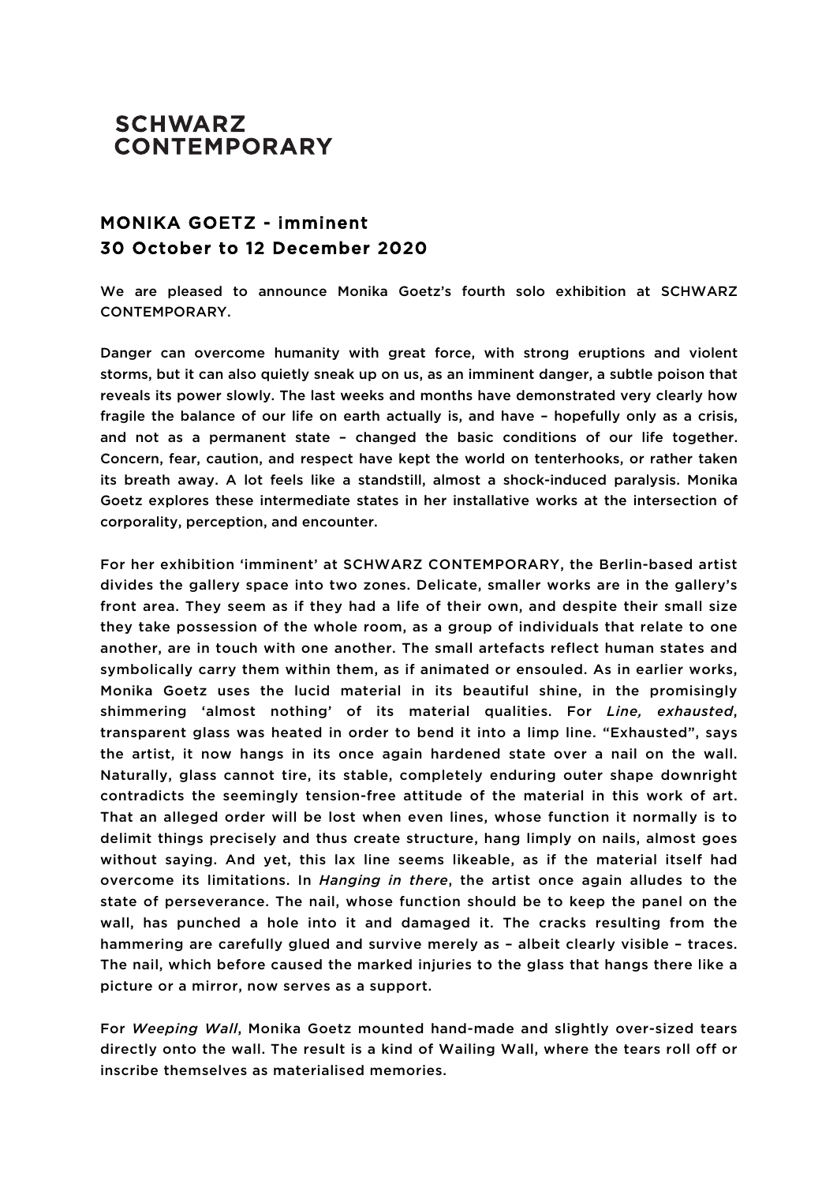## **SCHWARZ CONTEMPORARY**

## MONIKA GOETZ - imminent 30 October to 12 December 2020

We are pleased to announce Monika Goetz's fourth solo exhibition at SCHWARZ CONTEMPORARY.

Danger can overcome humanity with great force, with strong eruptions and violent storms, but it can also quietly sneak up on us, as an imminent danger, a subtle poison that reveals its power slowly. The last weeks and months have demonstrated very clearly how fragile the balance of our life on earth actually is, and have – hopefully only as a crisis, and not as a permanent state – changed the basic conditions of our life together. Concern, fear, caution, and respect have kept the world on tenterhooks, or rather taken its breath away. A lot feels like a standstill, almost a shock-induced paralysis. Monika Goetz explores these intermediate states in her installative works at the intersection of corporality, perception, and encounter.

For her exhibition 'imminent' at SCHWARZ CONTEMPORARY, the Berlin-based artist divides the gallery space into two zones. Delicate, smaller works are in the gallery's front area. They seem as if they had a life of their own, and despite their small size they take possession of the whole room, as a group of individuals that relate to one another, are in touch with one another. The small artefacts reflect human states and symbolically carry them within them, as if animated or ensouled. As in earlier works, Monika Goetz uses the lucid material in its beautiful shine, in the promisingly shimmering 'almost nothing' of its material qualities. For *Line, exhausted*, transparent glass was heated in order to bend it into a limp line. "Exhausted", says the artist, it now hangs in its once again hardened state over a nail on the wall. Naturally, glass cannot tire, its stable, completely enduring outer shape downright contradicts the seemingly tension-free attitude of the material in this work of art. That an alleged order will be lost when even lines, whose function it normally is to delimit things precisely and thus create structure, hang limply on nails, almost goes without saying. And yet, this lax line seems likeable, as if the material itself had overcome its limitations. In *Hanging in there*, the artist once again alludes to the state of perseverance. The nail, whose function should be to keep the panel on the wall, has punched a hole into it and damaged it. The cracks resulting from the hammering are carefully glued and survive merely as – albeit clearly visible – traces. The nail, which before caused the marked injuries to the glass that hangs there like a picture or a mirror, now serves as a support.

For *Weeping Wall*, Monika Goetz mounted hand-made and slightly over-sized tears directly onto the wall. The result is a kind of Wailing Wall, where the tears roll off or inscribe themselves as materialised memories.